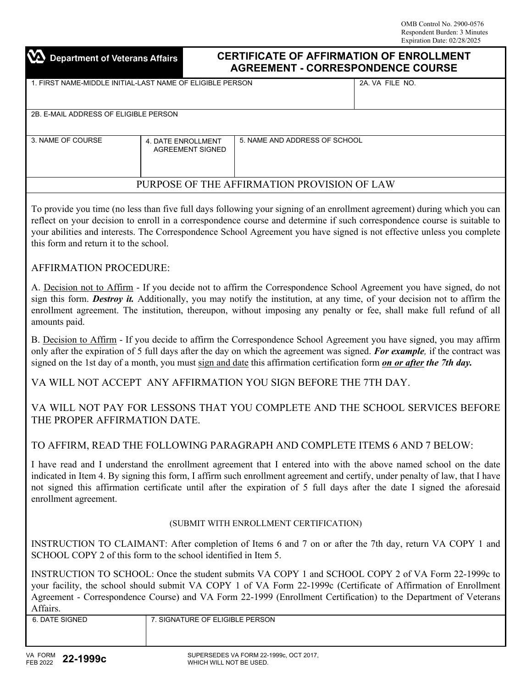# $\Delta$  Department of Veterans Affairs

## **CERTIFICATE OF AFFIRMATION OF ENROLLMENT AGREEMENT - CORRESPONDENCE COURSE**

| 1. FIRST NAME-MIDDLE INITIAL-LAST NAME OF ELIGIBLE PERSON |                                               |                               | 2A. VA FILE NO. |  |
|-----------------------------------------------------------|-----------------------------------------------|-------------------------------|-----------------|--|
| 2B. E-MAIL ADDRESS OF ELIGIBLE PERSON                     |                                               |                               |                 |  |
|                                                           |                                               |                               |                 |  |
| 3. NAME OF COURSE                                         | 4. DATE ENROLLMENT<br><b>AGREEMENT SIGNED</b> | 5. NAME AND ADDRESS OF SCHOOL |                 |  |
| PURPOSE OF THE AFFIRMATION PROVISION OF LAW               |                                               |                               |                 |  |
|                                                           |                                               |                               |                 |  |

To provide you time (no less than five full days following your signing of an enrollment agreement) during which you can reflect on your decision to enroll in a correspondence course and determine if such correspondence course is suitable to your abilities and interests. The Correspondence School Agreement you have signed is not effective unless you complete this form and return it to the school.

### AFFIRMATION PROCEDURE:

A. Decision not to Affirm - If you decide not to affirm the Correspondence School Agreement you have signed, do not sign this form. *Destroy it.* Additionally, you may notify the institution, at any time, of your decision not to affirm the enrollment agreement. The institution, thereupon, without imposing any penalty or fee, shall make full refund of all amounts paid.

B. Decision to Affirm - If you decide to affirm the Correspondence School Agreement you have signed, you may affirm only after the expiration of 5 full days after the day on which the agreement was signed. *For example,* if the contract was signed on the 1st day of a month, you must sign and date this affirmation certification form *on or after the 7th day.*

VA WILL NOT ACCEPT ANY AFFIRMATION YOU SIGN BEFORE THE 7TH DAY.

VA WILL NOT PAY FOR LESSONS THAT YOU COMPLETE AND THE SCHOOL SERVICES BEFORE THE PROPER AFFIRMATION DATE.

### TO AFFIRM, READ THE FOLLOWING PARAGRAPH AND COMPLETE ITEMS 6 AND 7 BELOW:

I have read and I understand the enrollment agreement that I entered into with the above named school on the date indicated in Item 4. By signing this form, I affirm such enrollment agreement and certify, under penalty of law, that I have not signed this affirmation certificate until after the expiration of 5 full days after the date I signed the aforesaid enrollment agreement.

#### (SUBMIT WITH ENROLLMENT CERTIFICATION)

INSTRUCTION TO CLAIMANT: After completion of Items 6 and 7 on or after the 7th day, return VA COPY 1 and SCHOOL COPY 2 of this form to the school identified in Item 5.

INSTRUCTION TO SCHOOL: Once the student submits VA COPY 1 and SCHOOL COPY 2 of VA Form 22-1999c to your facility, the school should submit VA COPY 1 of VA Form 22-1999c (Certificate of Affirmation of Enrollment Agreement - Correspondence Course) and VA Form 22-1999 (Enrollment Certification) to the Department of Veterans Affairs.

| <b><i>ATE SIGNED</i></b><br>6. DATF | <b>ELIGIBLE PERSON</b><br>OF EL<br><b>SIGNATURE</b> |
|-------------------------------------|-----------------------------------------------------|